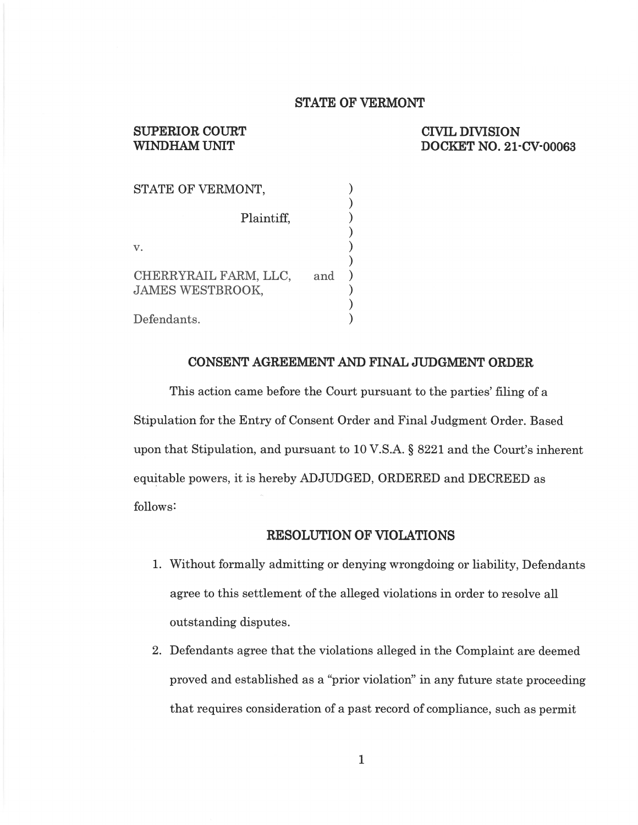#### STATE 0F VERMONT

# SUPERIOR COURT CIVIL DIVISION CIVIL DIVISION WINDHAM UNIT DOCKET NO. 21-CV-00063

| STATE OF VERMONT,                                       |  |
|---------------------------------------------------------|--|
| Plaintiff,                                              |  |
| $\mathbf{V}$ .                                          |  |
| CHERRYRAIL FARM, LLC,<br>and<br><b>JAMES WESTBROOK,</b> |  |
| Defendants.                                             |  |

#### CONSENT AGREEMENT AND FINAL JUDGMENT ORDER

This action came before the Court pursuant to the parties' filing of a Stipulation for the Entry of Consent Order and Final Judgment Order. Based upon that Stipulation, and pursuant to 10 V.S.A. § 8221 and the Court's inherent equitable powers, it is hereby ADJUDGED, ORDERED and DECREED as follows!

#### RESOLUTION OF VIOLATIONS

- 1. Without formally admitting or denying wrongdoing or liability, Defendants agree to this settlement of the alleged violations in order to resolve all outstanding disputes.
- 2. Defendants agree that the violations alleged in the Complaint are deemed proved and established as a "prior violation" in any future state proceeding that requires consideration of a past record of compliance, such as permit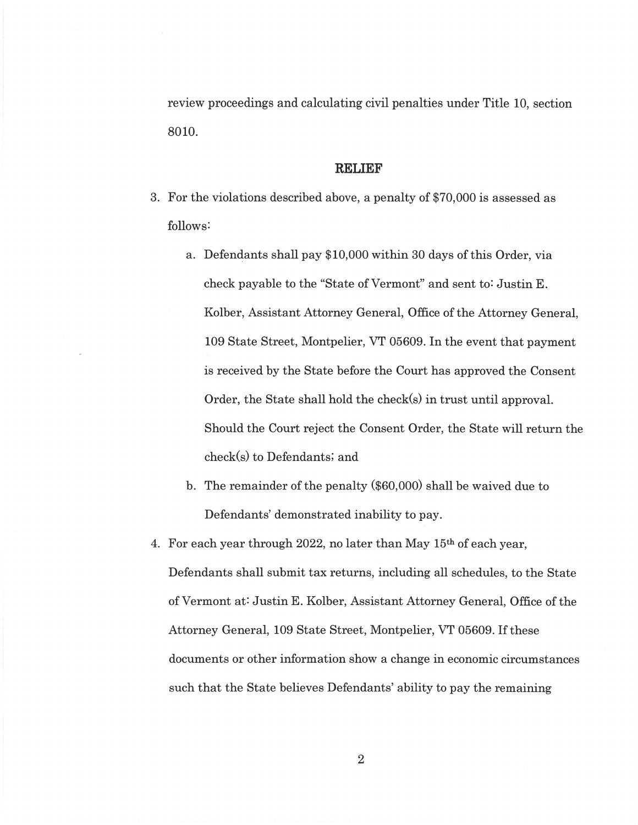review proceedings and calculating civil penalties under Title 10, section 8010.

#### RELIEF

- 3. For the violations described above, a penalty of \$70,000 is assessed as follows:
	- a. Defendants shall pay \$10,000 within <sup>30</sup> days of this Order, via check payable to the "State of Vermont" and sent to: Justin E. Kolber, Assistant Attorney General, Office of the Attorney General, <sup>109</sup> State Street, Montpelier, VT 05609. In the event that payment is received by the State before the Court has approved the Consent Order, the State shall hold the check(s) in trust until approval. Should the Court reject the Consent Order, the State will return the check(s) to Defendants; and
	- b. The remainder of the penalty (\$60,000) shall be waived due to Defendants' demonstrated inability to pay.
- 4. For each year through 2022, no later than May  $15<sup>th</sup>$  of each year, Defendants shall submit tax returns, including all schedules, to the State of Vermont at: Justin E. Kolber, Assistant Attorney General, Office of the Attorney General, <sup>109</sup> State Street, Montpelier, VT 05609. If these documents or other information show a change in economic circumstances such that the State believes Defendants' ability to pay the remaining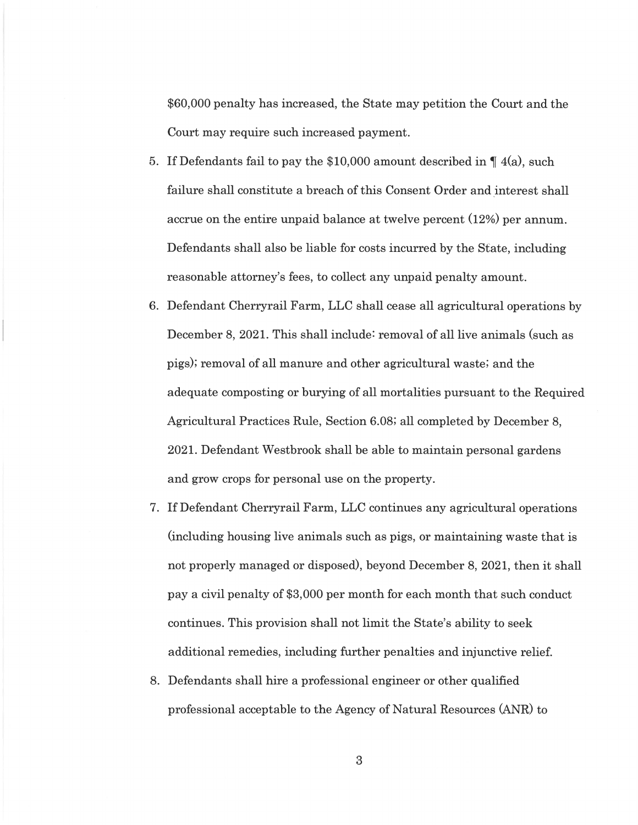\$60,000 penalty has increased, the State may petition the Court and the Court may require such increased payment.

- 5. If Defendants fail to pay the \$10,000 amount described in  $\P$  4(a), such failure shall constitute a breach of this Consent Order and interest shall accrue on the entire unpaid balance at twelve percent (12%) per annum. Defendants shall also be liable for costs incurred by the State, including reasonable attorney's fees, to collect any unpaid penalty amount.
- Defendant Cherryrail Farm, LLC shall cease all agricultural operations by December 8, 2021. This shall include: removal of all live animals (such as pigs); removal of all manure and other agricultural waste; and the adequate composting or burying of all mortalities pursuant to the Required Agricultural Practices Rule, Section 6.08; all completed by December 8, 2021. Defendant Westbrook shall be able to maintain personal gardens and grow crops for personal use on the property.
- If Defendant Cherryrail Farm, LLC Continues any agricultural operations (including housing live animals such as pigs, or maintaining waste that is not properly managed or disposed), beyond December 8, 2021, then it shall pay civil penalty of \$3,000 per month for each month that such conduct continues. This provision shall not limit the State's ability to seek additional remedies, including further penalties and injunctive relief.
- 8. Defendants shall hire a professional engineer or other qualified professional acceptable to the Agency of Natural Resources (ANR) to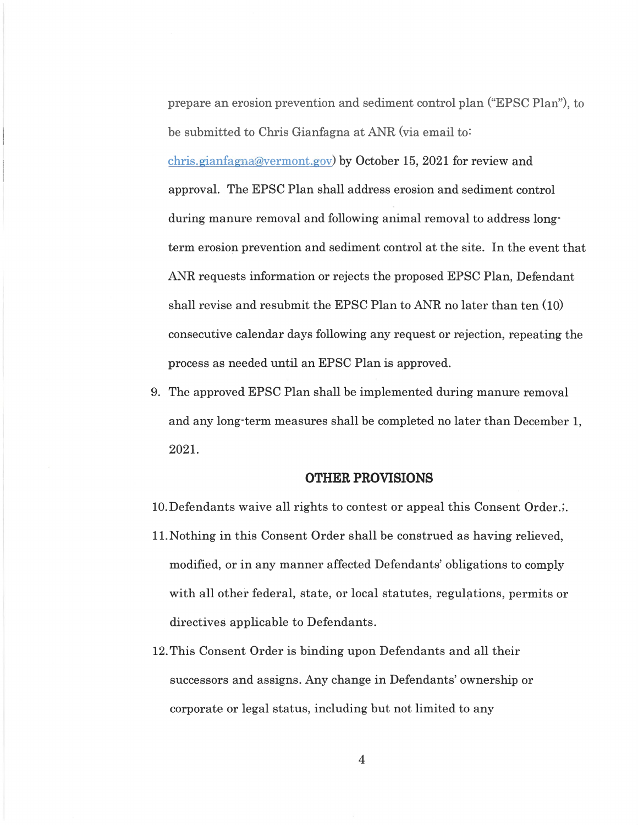prepare an erosion prevention and sediment control plan ("EPSC Plan"), to be submitted to Chris Gianfagna at ANR (via email to:  $chris.gian fagna@vermont.gov)$  by October 15, 2021 for review and approval. The EPSC Plan shall address erosion and sediment control during manure removal and following animal removal to address longterm erosion prevention and sediment control at the site. In the event that ANR requests information or rejects the proposed EPSC Plan, Defendant shall revise and resubmit the EPSC Plan to ANR no later than ten (10) consecutive calendar days following any request or rejection, repeating the process as needed until an EPSC Plan is approved.

The approved EPSC Plan shall be implemented during manure removal and any long-term measures shall be completed no later than December 1, 2021.

### OTHER PROVISIONS

10.Defendants waive all rights to contest or appeal this Consent Order.;.

- 11.Nothing in this Consent Order shall be construed as having relieved, modified, or in any manner affected Defendants' obligations to comply with all other federal, state, or local statutes, regulations, permits or directives applicable to Defendants.
- 12.This Consent Order is binding upon Defendants and all their successors and assigns. Any change in Defendants' ownership or corporate or legal status, including but not limited to any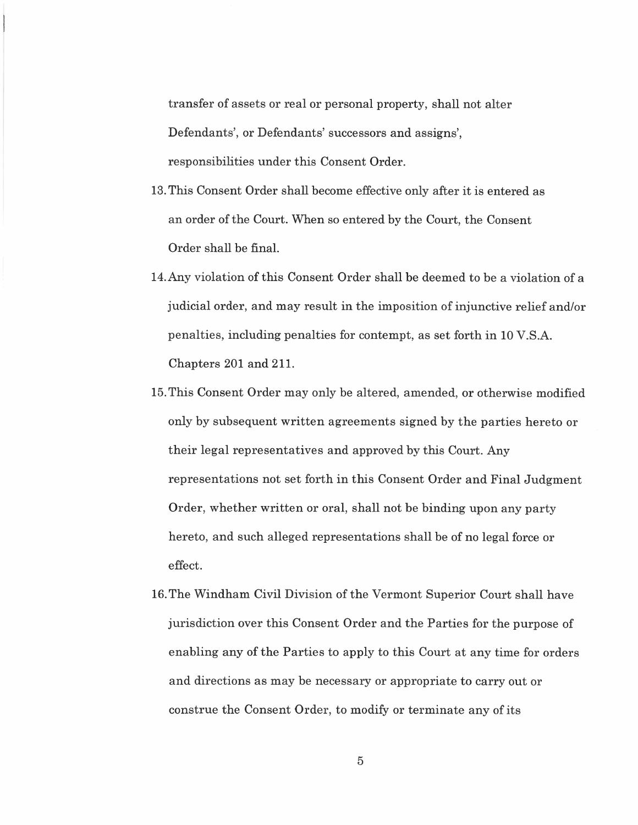transfer of assets or real or personal property, shall not alter Defendants', or Defendants' successors and assigns', responsibilities under this Consent Order.

- 13.This Consent Order shall become effective only after it is entered as an order of the Court. When so entered by the Court, the Consent Order shall be final.
- 14. Any violation of this Consent Order shall be deemed to be a violation of a judicial order, and may result in the imposition of injunctive relief and/or penalties, including penalties for contempt, as set forth in <sup>10</sup> V.S.A. Chapters 201 and'211.
- 15.This Consent Order may only be altered, amended, or otherwise modified only by subsequent written agreements signed by the parties hereto or their legal representatives and approved by this Court. Any representations not set forth in this Consent Order and Final Judgment Order, Whether written or oral, shall not be binding upon any party hereto, and such alleged representations shall be of no legal force or effect.
- 16.The Windham Civil Division of the Vermont Superior Court shall have jurisdiction over this Consent Order and the Parties for the purpose of enabling any of the Parties to apply to this Court at any time for orders and directions as may be necessary or appropriate to carry out or construe the Consent Order, to modify or terminate any of its

 $\overline{5}$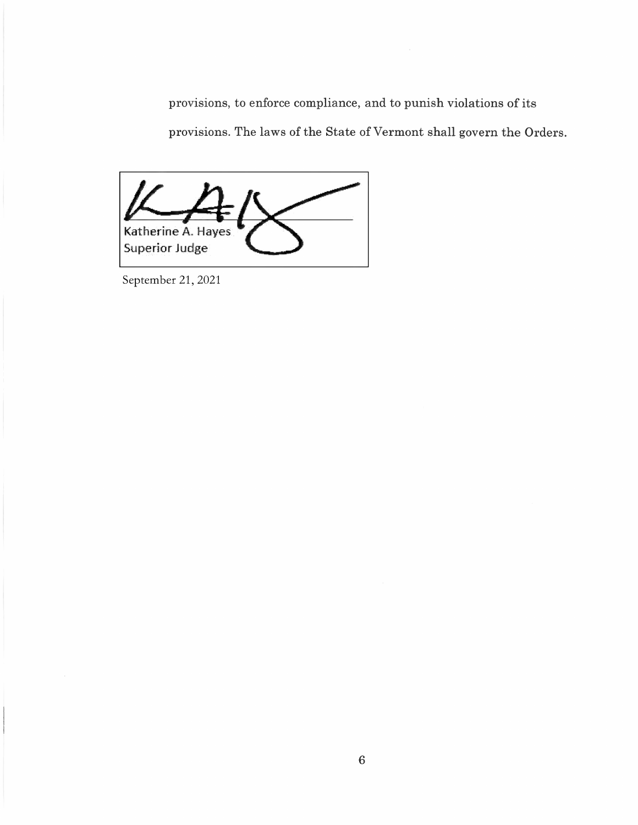provisions, to enforce compliance, and to punish violations of its provisions. The laws of the State of Vermont shall govern the Orders.

Katherine A. Hayes Superior Judge

September 21, 2021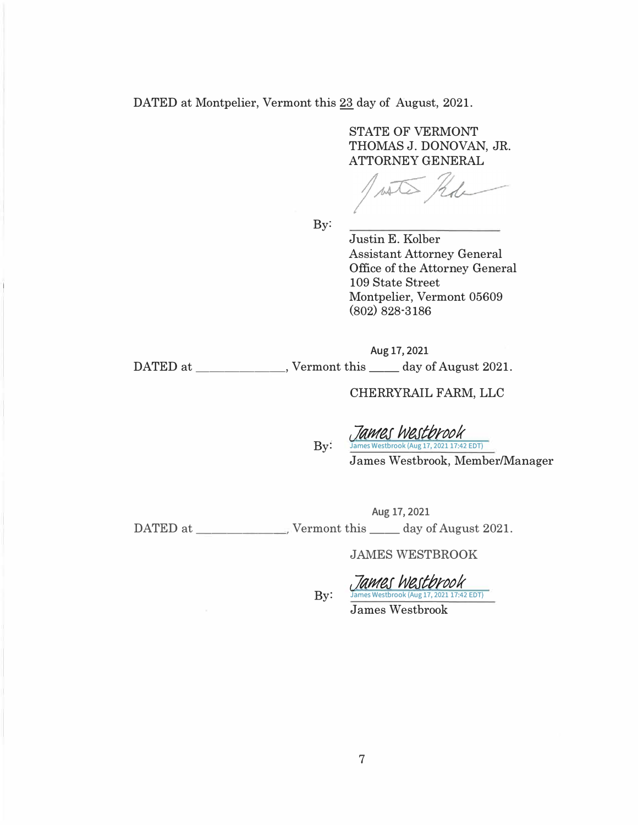DATED at Montpelier, Vermont this 23 day of August, 2021.

STATE OF VERMONT THOMAS J. DONOVAN, JR. ATTORNEY GENERAL

By:

Justin E. Kolber Assistant Attorney General Office of the Attorney General 109 State Street Montpelier, Vermont 05609 (802) 828·3186

Aug 17, 2021

DATED at \_\_\_\_\_\_\_\_\_\_, Vermont this \_\_\_\_ day of August 2021.

 $By:$ 

CHERRYRAIL FARM, LLC

*c\_la111e1 h!eJt/JntJk*  estbrook (Aug 17, 2021 17:42 EDT)

James Westbrook, Member/Manager

Aug 17, 2021 DATED at-----� Vermont this \_\_ day of August 2021.

JAMES WESTBROOK

 $By:$ 

*c\_la111e1 h!eJt/JntJk*  ames Westbrook (Aug 17, 2021 17:42 EDT) James Westbrook